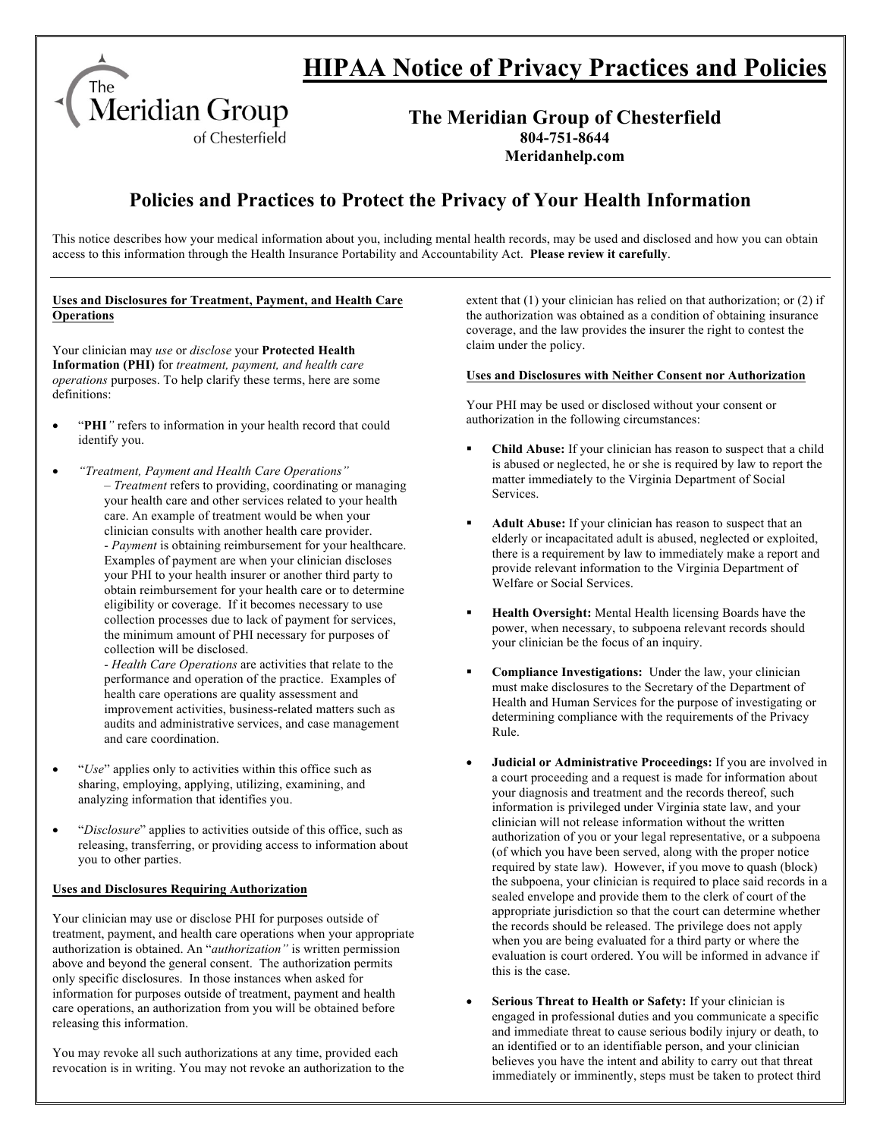

# **HIPAA Notice of Privacy Practices and Policies**

### **The Meridian Group of Chesterfield 804-751-8644 Meridanhelp.com**

## **Policies and Practices to Protect the Privacy of Your Health Information**

This notice describes how your medical information about you, including mental health records, may be used and disclosed and how you can obtain access to this information through the Health Insurance Portability and Accountability Act. **Please review it carefully**.

#### **Uses and Disclosures for Treatment, Payment, and Health Care Operations**

Your clinician may *use* or *disclose* your **Protected Health Information (PHI)** for *treatment, payment, and health care operations* purposes. To help clarify these terms, here are some definitions:

- "**PHI***"* refers to information in your health record that could identify you.
- *"Treatment, Payment and Health Care Operations"* – *Treatment* refers to providing, coordinating or managing your health care and other services related to your health care. An example of treatment would be when your clinician consults with another health care provider. - *Payment* is obtaining reimbursement for your healthcare. Examples of payment are when your clinician discloses your PHI to your health insurer or another third party to obtain reimbursement for your health care or to determine eligibility or coverage. If it becomes necessary to use collection processes due to lack of payment for services, the minimum amount of PHI necessary for purposes of collection will be disclosed.

- *Health Care Operations* are activities that relate to the performance and operation of the practice. Examples of health care operations are quality assessment and improvement activities, business-related matters such as audits and administrative services, and case management and care coordination.

- "*Use*" applies only to activities within this office such as sharing, employing, applying, utilizing, examining, and analyzing information that identifies you.
- "*Disclosure*" applies to activities outside of this office, such as releasing, transferring, or providing access to information about you to other parties.

#### **Uses and Disclosures Requiring Authorization**

Your clinician may use or disclose PHI for purposes outside of treatment, payment, and health care operations when your appropriate authorization is obtained. An "*authorization"* is written permission above and beyond the general consent. The authorization permits only specific disclosures. In those instances when asked for information for purposes outside of treatment, payment and health care operations, an authorization from you will be obtained before releasing this information.

You may revoke all such authorizations at any time, provided each revocation is in writing. You may not revoke an authorization to the extent that (1) your clinician has relied on that authorization; or (2) if the authorization was obtained as a condition of obtaining insurance coverage, and the law provides the insurer the right to contest the claim under the policy.

#### **Uses and Disclosures with Neither Consent nor Authorization**

Your PHI may be used or disclosed without your consent or authorization in the following circumstances:

- § **Child Abuse:** If your clinician has reason to suspect that a child is abused or neglected, he or she is required by law to report the matter immediately to the Virginia Department of Social Services.
- Adult Abuse: If your clinician has reason to suspect that an elderly or incapacitated adult is abused, neglected or exploited, there is a requirement by law to immediately make a report and provide relevant information to the Virginia Department of Welfare or Social Services.
- § **Health Oversight:** Mental Health licensing Boards have the power, when necessary, to subpoena relevant records should your clinician be the focus of an inquiry.
- § **Compliance Investigations:** Under the law, your clinician must make disclosures to the Secretary of the Department of Health and Human Services for the purpose of investigating or determining compliance with the requirements of the Privacy Rule.
- **Judicial or Administrative Proceedings:** If you are involved in a court proceeding and a request is made for information about your diagnosis and treatment and the records thereof, such information is privileged under Virginia state law, and your clinician will not release information without the written authorization of you or your legal representative, or a subpoena (of which you have been served, along with the proper notice required by state law). However, if you move to quash (block) the subpoena, your clinician is required to place said records in a sealed envelope and provide them to the clerk of court of the appropriate jurisdiction so that the court can determine whether the records should be released. The privilege does not apply when you are being evaluated for a third party or where the evaluation is court ordered. You will be informed in advance if this is the case.
- **Serious Threat to Health or Safety:** If your clinician is engaged in professional duties and you communicate a specific and immediate threat to cause serious bodily injury or death, to an identified or to an identifiable person, and your clinician believes you have the intent and ability to carry out that threat immediately or imminently, steps must be taken to protect third